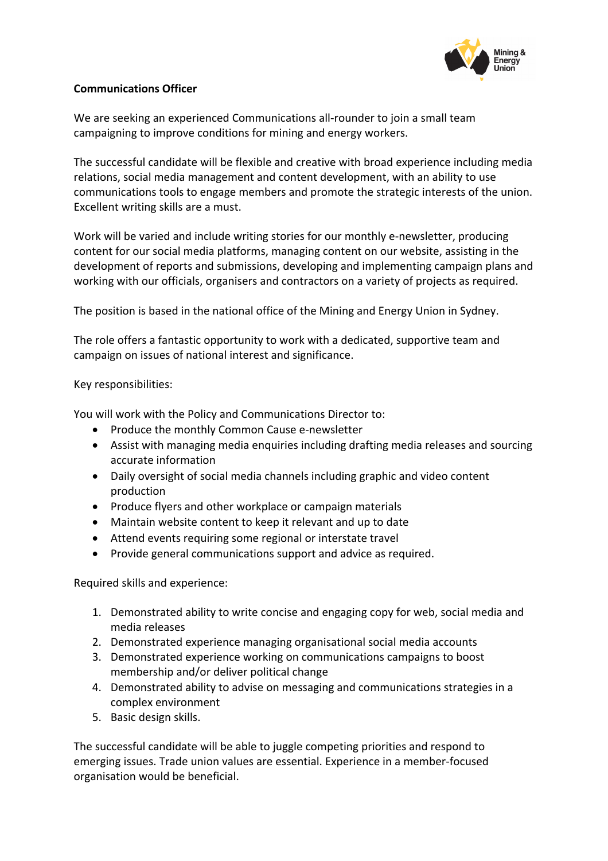

## **Communications Officer**

We are seeking an experienced Communications all-rounder to join a small team campaigning to improve conditions for mining and energy workers.

The successful candidate will be flexible and creative with broad experience including media relations, social media management and content development, with an ability to use communications tools to engage members and promote the strategic interests of the union. Excellent writing skills are a must.

Work will be varied and include writing stories for our monthly e-newsletter, producing content for our social media platforms, managing content on our website, assisting in the development of reports and submissions, developing and implementing campaign plans and working with our officials, organisers and contractors on a variety of projects as required.

The position is based in the national office of the Mining and Energy Union in Sydney.

The role offers a fantastic opportunity to work with a dedicated, supportive team and campaign on issues of national interest and significance.

## Key responsibilities:

You will work with the Policy and Communications Director to:

- Produce the monthly Common Cause e-newsletter
- Assist with managing media enquiries including drafting media releases and sourcing accurate information
- Daily oversight of social media channels including graphic and video content production
- Produce flyers and other workplace or campaign materials
- Maintain website content to keep it relevant and up to date
- Attend events requiring some regional or interstate travel
- Provide general communications support and advice as required.

Required skills and experience:

- 1. Demonstrated ability to write concise and engaging copy for web, social media and media releases
- 2. Demonstrated experience managing organisational social media accounts
- 3. Demonstrated experience working on communications campaigns to boost membership and/or deliver political change
- 4. Demonstrated ability to advise on messaging and communications strategies in a complex environment
- 5. Basic design skills.

The successful candidate will be able to juggle competing priorities and respond to emerging issues. Trade union values are essential. Experience in a member-focused organisation would be beneficial.